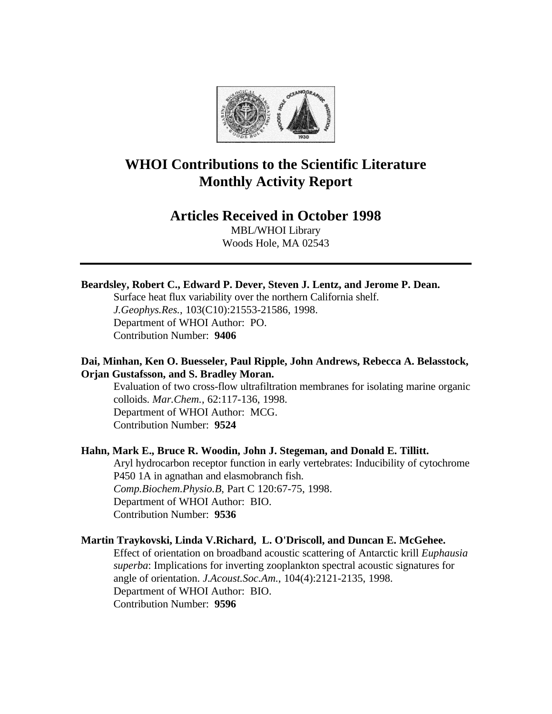

# **WHOI Contributions to the Scientific Literature Monthly Activity Report**

# **Articles Received in October 1998**

MBL/WHOI Library Woods Hole, MA 02543

## **Beardsley, Robert C., Edward P. Dever, Steven J. Lentz, and Jerome P. Dean.**

Surface heat flux variability over the northern California shelf. *J.Geophys.Res.*, 103(C10):21553-21586, 1998. Department of WHOI Author: PO. Contribution Number: **9406**

# **Dai, Minhan, Ken O. Buesseler, Paul Ripple, John Andrews, Rebecca A. Belasstock, Orjan Gustafsson, and S. Bradley Moran.**

Evaluation of two cross-flow ultrafiltration membranes for isolating marine organic colloids. *Mar.Chem.*, 62:117-136, 1998. Department of WHOI Author: MCG. Contribution Number: **9524**

### **Hahn, Mark E., Bruce R. Woodin, John J. Stegeman, and Donald E. Tillitt.**

Aryl hydrocarbon receptor function in early vertebrates: Inducibility of cytochrome P450 1A in agnathan and elasmobranch fish. *Comp.Biochem.Physio.B*, Part C 120:67-75, 1998. Department of WHOI Author: BIO. Contribution Number: **9536**

#### **Martin Traykovski, Linda V.Richard, L. O'Driscoll, and Duncan E. McGehee.**

Effect of orientation on broadband acoustic scattering of Antarctic krill *Euphausia superba*: Implications for inverting zooplankton spectral acoustic signatures for angle of orientation. *J.Acoust.Soc.Am.*, 104(4):2121-2135, 1998. Department of WHOI Author: BIO. Contribution Number: **9596**